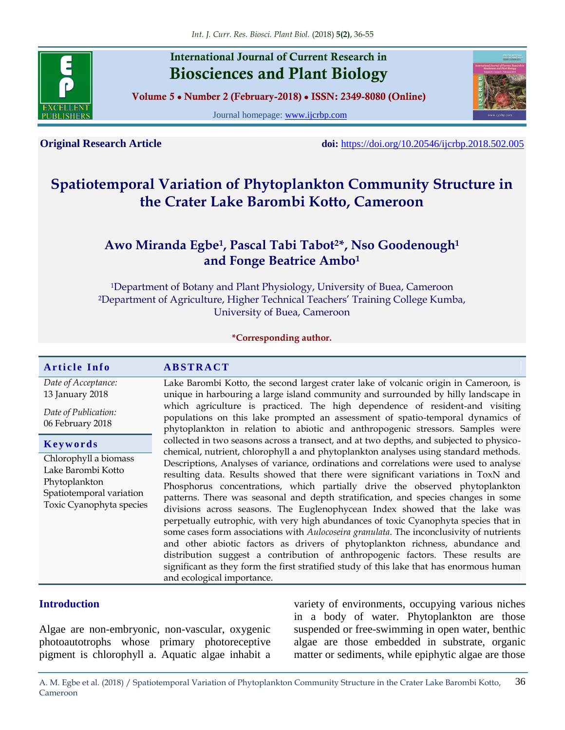

# **International Journal of Current Research in Biosciences and Plant Biology**

**Volume 5 ● Number 2 (February-2018) ● ISSN: 2349-8080 (Online)**

Journal homepage: [www.ijcrbp.com](http://www.ijcrbp.com/)



**Original Research Article doi:** <https://doi.org/10.20546/ijcrbp.2018.502.005>

# **Spatiotemporal Variation of Phytoplankton Community Structure in the Crater Lake Barombi Kotto, Cameroon**

# **Awo Miranda Egbe<sup>1</sup> , Pascal Tabi Tabot2\*, Nso Goodenough<sup>1</sup> and Fonge Beatrice Ambo<sup>1</sup>**

<sup>1</sup>Department of Botany and Plant Physiology, University of Buea, Cameroon <sup>2</sup>Department of Agriculture, Higher Technical Teachers' Training College Kumba, University of Buea, Cameroon

#### **\*Corresponding author.**

#### **A r t i c l e I n f o A B S T R A C T**

*Date of Acceptance:* 13 January 2018

*Date of Publication:* 06 February 2018

| Keywords |  |  |  |  |
|----------|--|--|--|--|
|          |  |  |  |  |

Chlorophyll a biomass Lake Barombi Kotto Phytoplankton Spatiotemporal variation Toxic Cyanophyta species Lake Barombi Kotto, the second largest crater lake of volcanic origin in Cameroon, is unique in harbouring a large island community and surrounded by hilly landscape in which agriculture is practiced. The high dependence of resident-and visiting populations on this lake prompted an assessment of spatio-temporal dynamics of phytoplankton in relation to abiotic and anthropogenic stressors. Samples were collected in two seasons across a transect, and at two depths, and subjected to physicochemical, nutrient, chlorophyll a and phytoplankton analyses using standard methods. Descriptions, Analyses of variance, ordinations and correlations were used to analyse resulting data. Results showed that there were significant variations in ToxN and Phosphorus concentrations, which partially drive the observed phytoplankton patterns. There was seasonal and depth stratification, and species changes in some divisions across seasons. The Euglenophycean Index showed that the lake was perpetually eutrophic, with very high abundances of toxic Cyanophyta species that in some cases form associations with *Aulocoseira granulata*. The inconclusivity of nutrients and other abiotic factors as drivers of phytoplankton richness, abundance and distribution suggest a contribution of anthropogenic factors. These results are significant as they form the first stratified study of this lake that has enormous human and ecological importance.

## **Introduction**

Algae are non-embryonic, non-vascular, oxygenic photoautotrophs whose primary photoreceptive pigment is chlorophyll a. Aquatic algae inhabit a variety of environments, occupying various niches in a body of water. Phytoplankton are those suspended or free-swimming in open water, benthic algae are those embedded in substrate, organic matter or sediments, while epiphytic algae are those

A. M. Egbe et al. (2018) / Spatiotemporal Variation of Phytoplankton Community Structure in the Crater Lake Barombi Kotto, Cameroon 36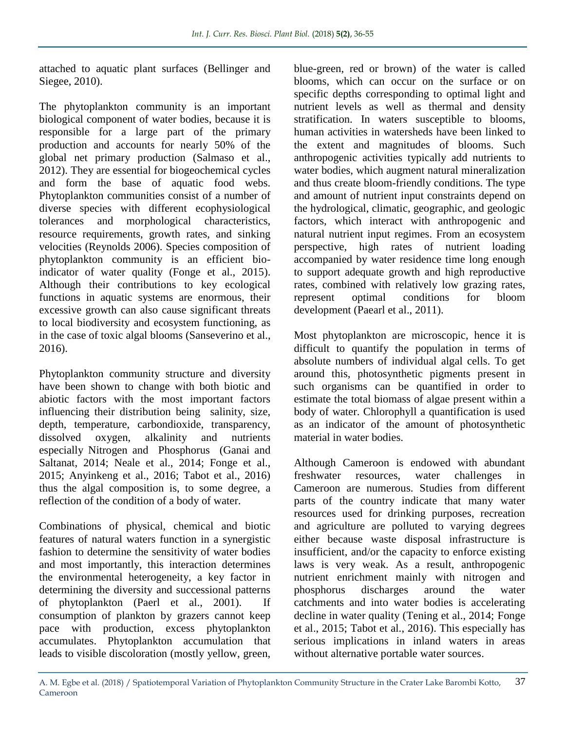attached to aquatic plant surfaces (Bellinger and Siegee, 2010).

The phytoplankton community is an important biological component of water bodies, because it is responsible for a large part of the primary production and accounts for nearly 50% of the global net primary production (Salmaso et al., 2012). They are essential for biogeochemical cycles and form the base of aquatic food webs. Phytoplankton communities consist of a number of diverse species with different ecophysiological tolerances and morphological characteristics, resource requirements, growth rates, and sinking velocities (Reynolds 2006). Species composition of phytoplankton community is an efficient bioindicator of water quality (Fonge et al., 2015). Although their contributions to key ecological functions in aquatic systems are enormous, their excessive growth can also cause significant threats to local biodiversity and ecosystem functioning, as in the case of toxic algal blooms (Sanseverino et al., 2016).

Phytoplankton community structure and diversity have been shown to change with both biotic and abiotic factors with the most important factors influencing their distribution being salinity, size, depth, temperature, carbondioxide, transparency, dissolved oxygen, alkalinity and nutrients especially Nitrogen and Phosphorus (Ganai and Saltanat, 2014; Neale et al., 2014; Fonge et al., 2015; Anyinkeng et al., 2016; Tabot et al., 2016) thus the algal composition is, to some degree, a reflection of the condition of a body of water.

Combinations of physical, chemical and biotic features of natural waters function in a synergistic fashion to determine the sensitivity of water bodies and most importantly, this interaction determines the environmental heterogeneity, a key factor in determining the diversity and successional patterns of phytoplankton (Paerl et al., 2001). If consumption of plankton by grazers cannot keep pace with production, excess phytoplankton accumulates. Phytoplankton accumulation that leads to visible discoloration (mostly yellow, green,

blue-green, red or brown) of the water is called blooms, which can occur on the surface or on specific depths corresponding to optimal light and nutrient levels as well as thermal and density stratification. In waters susceptible to blooms, human activities in watersheds have been linked to the extent and magnitudes of blooms. Such anthropogenic activities typically add nutrients to water bodies, which augment natural mineralization and thus create bloom-friendly conditions. The type and amount of nutrient input constraints depend on the hydrological, climatic, geographic, and geologic factors, which interact with anthropogenic and natural nutrient input regimes. From an ecosystem perspective, high rates of nutrient loading accompanied by water residence time long enough to support adequate growth and high reproductive rates, combined with relatively low grazing rates, represent optimal conditions for bloom development (Paearl et al., 2011).

Most phytoplankton are microscopic, hence it is difficult to quantify the population in terms of absolute numbers of individual algal cells. To get around this, photosynthetic pigments present in such organisms can be quantified in order to estimate the total biomass of algae present within a body of water. Chlorophyll a quantification is used as an indicator of the amount of photosynthetic material in water bodies.

Although Cameroon is endowed with abundant freshwater resources, water challenges in Cameroon are numerous. Studies from different parts of the country indicate that many water resources used for drinking purposes, recreation and agriculture are polluted to varying degrees either because waste disposal infrastructure is insufficient, and/or the capacity to enforce existing laws is very weak. As a result, anthropogenic nutrient enrichment mainly with nitrogen and phosphorus discharges around the water catchments and into water bodies is accelerating decline in water quality (Tening et al., 2014; Fonge et al., 2015; Tabot et al., 2016). This especially has serious implications in inland waters in areas without alternative portable water sources.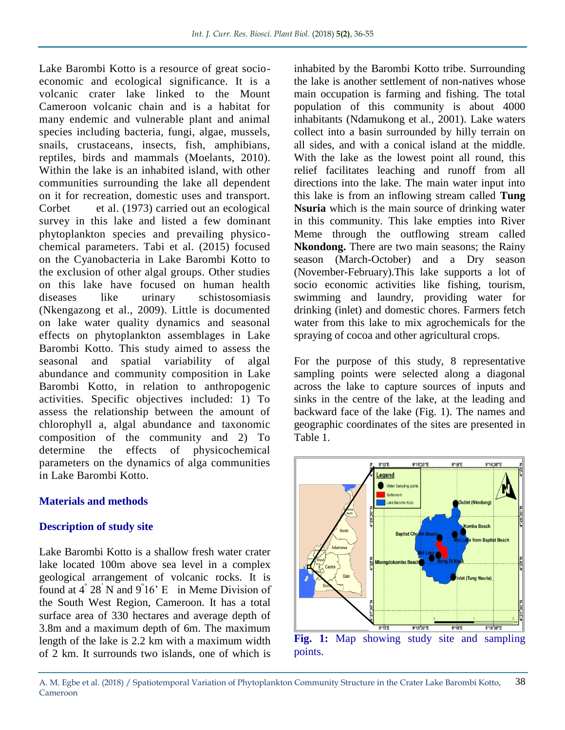Lake Barombi Kotto is a resource of great socioeconomic and ecological significance. It is a volcanic crater lake linked to the Mount Cameroon volcanic chain and is a habitat for many endemic and vulnerable plant and animal species including bacteria, fungi, algae, mussels, snails, crustaceans, insects, fish, amphibians, reptiles, birds and mammals (Moelants, 2010). Within the lake is an inhabited island, with other communities surrounding the lake all dependent on it for recreation, domestic uses and transport. Corbet et al. (1973) carried out an ecological survey in this lake and listed a few dominant phytoplankton species and prevailing physicochemical parameters. Tabi et al. (2015) focused on the Cyanobacteria in Lake Barombi Kotto to the exclusion of other algal groups. Other studies on this lake have focused on human health<br>diseases like urinary schistosomiasis diseases like urinary schistosomiasis (Nkengazong et al., 2009). Little is documented on lake water quality dynamics and seasonal effects on phytoplankton assemblages in Lake Barombi Kotto. This study aimed to assess the seasonal and spatial variability of algal abundance and community composition in Lake Barombi Kotto, in relation to anthropogenic activities. Specific objectives included: 1) To assess the relationship between the amount of chlorophyll a, algal abundance and taxonomic composition of the community and 2) To determine the effects of physicochemical parameters on the dynamics of alga communities in Lake Barombi Kotto.

#### **Materials and methods**

#### **Description of study site**

Lake Barombi Kotto is a shallow fresh water crater lake located 100m above sea level in a complex geological arrangement of volcanic rocks. It is found at  $4^{\degree}$  28<sup>'</sup> N and  $9^{\degree}16^{\degree}$  E in Meme Division of the South West Region, Cameroon. It has a total surface area of 330 hectares and average depth of 3.8m and a maximum depth of 6m. The maximum length of the lake is 2.2 km with a maximum width of 2 km. It surrounds two islands, one of which is

inhabited by the Barombi Kotto tribe. Surrounding the lake is another settlement of non-natives whose main occupation is farming and fishing. The total population of this community is about 4000 inhabitants (Ndamukong et al., 2001). Lake waters collect into a basin surrounded by hilly terrain on all sides, and with a conical island at the middle. With the lake as the lowest point all round, this relief facilitates leaching and runoff from all directions into the lake. The main water input into this lake is from an inflowing stream called **Tung Nsuria** which is the main source of drinking water in this community. This lake empties into River Meme through the outflowing stream called **Nkondong.** There are two main seasons; the Rainy season (March-October) and a Dry season (November-February).This lake supports a lot of socio economic activities like fishing, tourism, swimming and laundry, providing water for drinking (inlet) and domestic chores. Farmers fetch water from this lake to mix agrochemicals for the spraying of cocoa and other agricultural crops.

For the purpose of this study, 8 representative sampling points were selected along a diagonal across the lake to capture sources of inputs and sinks in the centre of the lake, at the leading and backward face of the lake (Fig. 1). The names and geographic coordinates of the sites are presented in Table 1.



**Fig. 1:** Map showing study site and sampling points.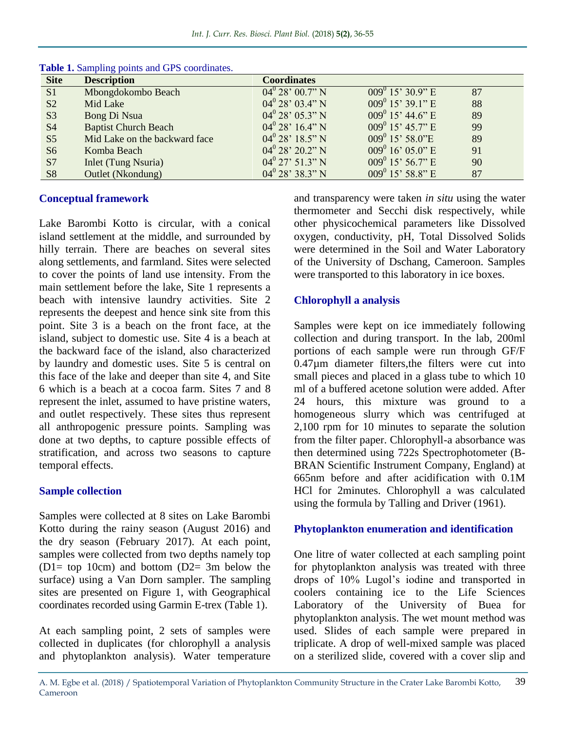| <b>Site</b>    | ັບ 1<br><b>Description</b>    | <b>Coordinates</b>       |                       |    |
|----------------|-------------------------------|--------------------------|-----------------------|----|
| S <sub>1</sub> | Mbongdokombo Beach            | $04^0 28' 00.7'' N$      | $009^{0}$ 15' 30.9" E | 87 |
| S <sub>2</sub> | Mid Lake                      | $04^0 28' 03.4'' N$      | $009^0$ 15' 39.1" E   | 88 |
| S <sub>3</sub> | Bong Di Nsua                  | $04^0 28' 05.3'' N$      | $009^0$ 15' 44.6" E   | 89 |
| <b>S4</b>      | <b>Baptist Church Beach</b>   | $04^{\rm 0}$ 28' 16.4" N | $009^0$ 15' 45.7" E   | 99 |
| S <sub>5</sub> | Mid Lake on the backward face | $04^0 28' 18.5'' N$      | $009^0$ 15' 58.0"E    | 89 |
| S <sub>6</sub> | Komba Beach                   | $04^0$ 28' 20.2" N       | $009^0$ 16' 05.0" E   | 91 |
| S7             | <b>Inlet (Tung Nsuria)</b>    | $04^0$ 27' 51.3" N       | $009^0$ 15' 56.7" E   | 90 |
| <b>S8</b>      | Outlet (Nkondung)             | $04^0 28' 38.3'' N$      | $009^0$ 15' 58.8" E   | 87 |

**Table 1.** Sampling points and GPS coordinates.

#### **Conceptual framework**

Lake Barombi Kotto is circular, with a conical island settlement at the middle, and surrounded by hilly terrain. There are beaches on several sites along settlements, and farmland. Sites were selected to cover the points of land use intensity. From the main settlement before the lake, Site 1 represents a beach with intensive laundry activities. Site 2 represents the deepest and hence sink site from this point. Site 3 is a beach on the front face, at the island, subject to domestic use. Site 4 is a beach at the backward face of the island, also characterized by laundry and domestic uses. Site 5 is central on this face of the lake and deeper than site 4, and Site 6 which is a beach at a cocoa farm. Sites 7 and 8 represent the inlet, assumed to have pristine waters, and outlet respectively. These sites thus represent all anthropogenic pressure points. Sampling was done at two depths, to capture possible effects of stratification, and across two seasons to capture temporal effects.

#### **Sample collection**

Samples were collected at 8 sites on Lake Barombi Kotto during the rainy season (August 2016) and the dry season (February 2017). At each point, samples were collected from two depths namely top ( $D1=$  top 10cm) and bottom ( $D2=$  3m below the surface) using a Van Dorn sampler. The sampling sites are presented on Figure 1, with Geographical coordinates recorded using Garmin E-trex (Table 1).

At each sampling point, 2 sets of samples were collected in duplicates (for chlorophyll a analysis and phytoplankton analysis). Water temperature

and transparency were taken *in situ* using the water thermometer and Secchi disk respectively, while other physicochemical parameters like Dissolved oxygen, conductivity, pH, Total Dissolved Solids were determined in the Soil and Water Laboratory of the University of Dschang, Cameroon. Samples were transported to this laboratory in ice boxes.

## **Chlorophyll a analysis**

Samples were kept on ice immediately following collection and during transport. In the lab, 200ml portions of each sample were run through GF/F  $0.47 \mu m$  diameter filters, the filters were cut into small pieces and placed in a glass tube to which 10 ml of a buffered acetone solution were added. After 24 hours, this mixture was ground to homogeneous slurry which was centrifuged at 2,100 rpm for 10 minutes to separate the solution from the filter paper. Chlorophyll-a absorbance was then determined using 722s Spectrophotometer (B-BRAN Scientific Instrument Company, England) at 665nm before and after acidification with 0.1M HCl for 2minutes. Chlorophyll a was calculated using the formula by Talling and Driver (1961).

## **Phytoplankton enumeration and identification**

One litre of water collected at each sampling point for phytoplankton analysis was treated with three drops of 10% Lugol's iodine and transported in coolers containing ice to the Life Sciences Laboratory of the University of Buea for phytoplankton analysis. The wet mount method was used. Slides of each sample were prepared in triplicate. A drop of well-mixed sample was placed on a sterilized slide, covered with a cover slip and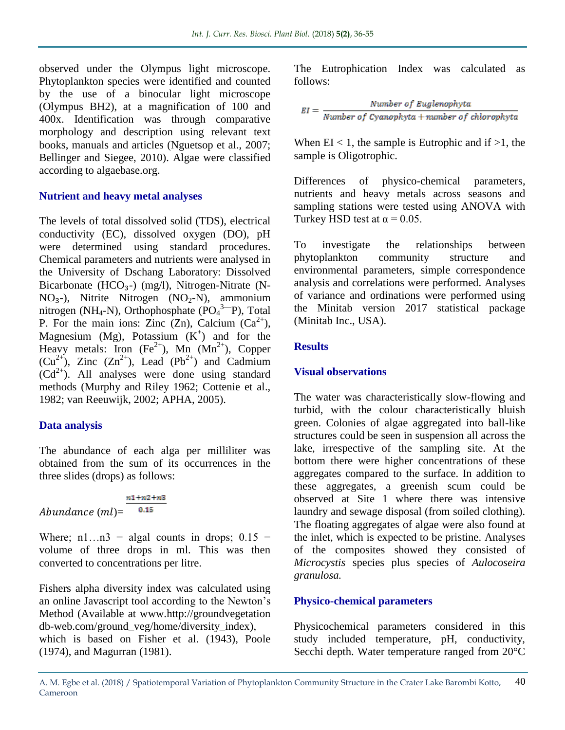observed under the Olympus light microscope. Phytoplankton species were identified and counted by the use of a binocular light microscope (Olympus BH2), at a magnification of 100 and 400x. Identification was through comparative morphology and description using relevant text books, manuals and articles (Nguetsop et al., 2007; Bellinger and Siegee, 2010). Algae were classified according to algaebase.org.

#### **Nutrient and heavy metal analyses**

The levels of total dissolved solid (TDS), electrical conductivity (EC), dissolved oxygen (DO), pH were determined using standard procedures. Chemical parameters and nutrients were analysed in the University of Dschang Laboratory: Dissolved Bicarbonate (HCO<sub>3</sub>-) (mg/l), Nitrogen-Nitrate (N- $NO<sub>3</sub>$ -), Nitrite Nitrogen (NO<sub>2</sub>-N), ammonium nitrogen (NH<sub>4</sub>-N), Orthophosphate ( $PO<sub>4</sub><sup>3</sup>-P$ ), Total P. For the main ions: Zinc (Zn), Calcium  $(Ca^{2+})$ , Magnesium (Mg), Potassium  $(K^+)$  and for the Heavy metals: Iron  $(Fe^{2+})$ , Mn  $(Mn^{2+})$ , Copper  $(Cu^{2+})$ , Zinc  $(Zn^{2+})$ , Lead  $(Pb^{2+})$  and Cadmium  $(Cd^{2+})$ . All analyses were done using standard methods (Murphy and Riley 1962; Cottenie et al., 1982; van Reeuwijk, 2002; APHA, 2005).

# **Data analysis**

The abundance of each alga per milliliter was obtained from the sum of its occurrences in the three slides (drops) as follows:

*Abundance* 
$$
(ml)
$$
 =  $\frac{n1+n2+n3}{0.15}$ 

Where;  $n1...n3 =$  algal counts in drops;  $0.15 =$ volume of three drops in ml. This was then converted to concentrations per litre.

Fishers alpha diversity index was calculated using an online Javascript tool according to the Newton's Method (Available at www.http://groundvegetation db-web.com/ground\_veg/home/diversity\_index), which is based on Fisher et al. (1943), Poole (1974), and Magurran (1981).

The Eutrophication Index was calculated as follows:

$$
EI = \frac{Number\ of\ Euglenophyta}{Number\ of\ Cyanophyta + number\ of\ chlorophyta}
$$

When  $EI < 1$ , the sample is Eutrophic and if  $>1$ , the sample is Oligotrophic.

Differences of physico-chemical parameters, nutrients and heavy metals across seasons and sampling stations were tested using ANOVA with Turkey HSD test at  $\alpha$  = 0.05.

To investigate the relationships between phytoplankton community structure and environmental parameters, simple correspondence analysis and correlations were performed. Analyses of variance and ordinations were performed using the Minitab version 2017 statistical package (Minitab Inc., USA).

## **Results**

# **Visual observations**

The water was characteristically slow-flowing and turbid, with the colour characteristically bluish green. Colonies of algae aggregated into ball-like structures could be seen in suspension all across the lake, irrespective of the sampling site. At the bottom there were higher concentrations of these aggregates compared to the surface. In addition to these aggregates, a greenish scum could be observed at Site 1 where there was intensive laundry and sewage disposal (from soiled clothing). The floating aggregates of algae were also found at the inlet, which is expected to be pristine. Analyses of the composites showed they consisted of *Microcystis* species plus species of *Aulocoseira granulosa.*

# **Physico-chemical parameters**

Physicochemical parameters considered in this study included temperature, pH, conductivity, Secchi depth. Water temperature ranged from 20°C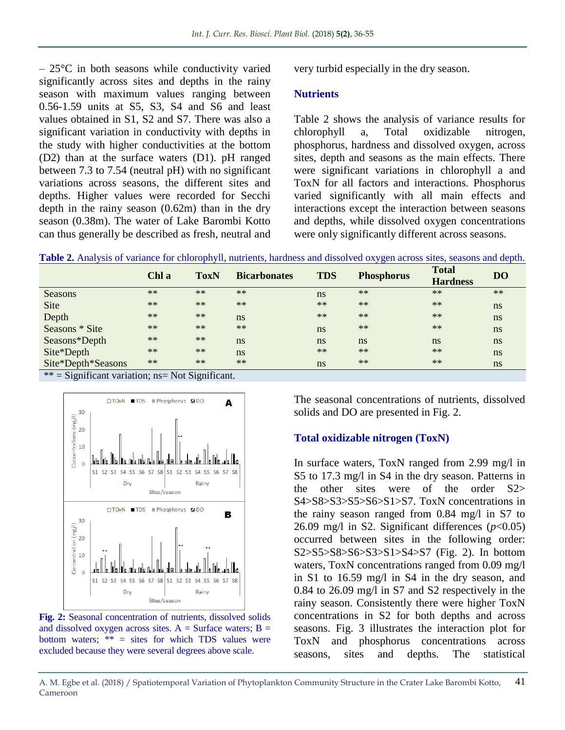$-25^{\circ}$ C in both seasons while conductivity varied significantly across sites and depths in the rainy season with maximum values ranging between 0.56-1.59 units at S5, S3, S4 and S6 and least values obtained in S1, S2 and S7. There was also a significant variation in conductivity with depths in the study with higher conductivities at the bottom (D2) than at the surface waters (D1). pH ranged between 7.3 to 7.54 (neutral pH) with no significant variations across seasons, the different sites and depths. Higher values were recorded for Secchi depth in the rainy season (0.62m) than in the dry season (0.38m). The water of Lake Barombi Kotto can thus generally be described as fresh, neutral and very turbid especially in the dry season.

#### **Nutrients**

Table 2 shows the analysis of variance results for chlorophyll a, Total oxidizable nitrogen, phosphorus, hardness and dissolved oxygen, across sites, depth and seasons as the main effects. There were significant variations in chlorophyll a and ToxN for all factors and interactions. Phosphorus varied significantly with all main effects and interactions except the interaction between seasons and depths, while dissolved oxygen concentrations were only significantly different across seasons.

**Table 2.** Analysis of variance for chlorophyll, nutrients, hardness and dissolved oxygen across sites, seasons and depth.

|                                                                                                                                                                                                                                                                                               | Chl a | <b>ToxN</b> | <b>Bicarbonates</b> | <b>TDS</b> | <b>Phosphorus</b> | <b>Total</b><br><b>Hardness</b> | <b>DO</b> |
|-----------------------------------------------------------------------------------------------------------------------------------------------------------------------------------------------------------------------------------------------------------------------------------------------|-------|-------------|---------------------|------------|-------------------|---------------------------------|-----------|
| Seasons                                                                                                                                                                                                                                                                                       | $**$  | $**$        | $**$                | ns         | $**$              | $**$                            | $**$      |
| <b>Site</b>                                                                                                                                                                                                                                                                                   | $**$  | $**$        | $**$                | $**$       | $**$              | $**$                            | ns        |
| Depth                                                                                                                                                                                                                                                                                         | $**$  | $**$        | ns                  | $**$       | $**$              | $**$                            | ns        |
| Seasons * Site                                                                                                                                                                                                                                                                                | $**$  | $**$        | $**$                | ns         | $**$              | $**$                            | ns        |
| Seasons*Depth                                                                                                                                                                                                                                                                                 | $**$  | $\ast\ast$  | ns                  | ns         | ns                | ns                              | ns        |
| Site*Depth                                                                                                                                                                                                                                                                                    | $**$  | $**$        | ns                  | $**$       | $**$              | $**$                            | ns        |
| Site*Depth*Seasons                                                                                                                                                                                                                                                                            | $**$  | $**$        | $**$                | ns         | $**$              | $**$                            | ns        |
| $\mathcal{P}$ $\mathcal{P}$ and $\mathcal{P}$ are the set of the set of $\mathcal{P}$ and $\mathcal{P}$ are the set of $\mathcal{P}$ and $\mathcal{P}$ are the set of $\mathcal{P}$ and $\mathcal{P}$ are the set of $\mathcal{P}$ and $\mathcal{P}$ are the set of $\mathcal{P}$ and $\math$ |       |             |                     |            |                   |                                 |           |

 $*$  = Significant variation; ns = Not Significant.



**Fig. 2:** Seasonal concentration of nutrients, dissolved solids and dissolved oxygen across sites.  $A =$  Surface waters;  $B =$ bottom waters;  $**$  = sites for which TDS values were excluded because they were several degrees above scale.

The seasonal concentrations of nutrients, dissolved solids and DO are presented in Fig. 2.

#### **Total oxidizable nitrogen (ToxN)**

In surface waters, ToxN ranged from 2.99 mg/l in S5 to 17.3 mg/l in S4 in the dry season. Patterns in the other sites were of the order S2> S4>S8>S3>S5>S6>S1>S7. ToxN concentrations in the rainy season ranged from 0.84 mg/l in S7 to 26.09 mg/l in S2. Significant differences  $(p<0.05)$ occurred between sites in the following order: S2>S5>S8>S6>S3>S1>S4>S7 (Fig. 2). In bottom waters, ToxN concentrations ranged from 0.09 mg/l in S1 to 16.59 mg/l in S4 in the dry season, and 0.84 to 26.09 mg/l in S7 and S2 respectively in the rainy season. Consistently there were higher ToxN concentrations in S2 for both depths and across seasons. Fig. 3 illustrates the interaction plot for ToxN and phosphorus concentrations across seasons, sites and depths. The statistical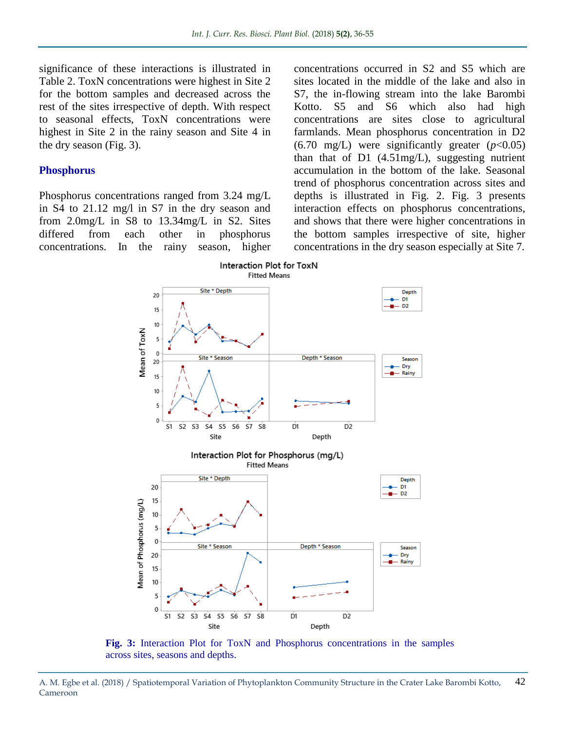significance of these interactions is illustrated in Table 2. ToxN concentrations were highest in Site 2 for the bottom samples and decreased across the rest of the sites irrespective of depth. With respect to seasonal effects, ToxN concentrations were highest in Site 2 in the rainy season and Site 4 in the dry season (Fig. 3).

#### **Phosphorus**

Phosphorus concentrations ranged from 3.24 mg/L in S4 to 21.12 mg/l in S7 in the dry season and from 2.0mg/L in S8 to 13.34mg/L in S2. Sites differed from each other in phosphorus concentrations. In the rainy season, higher concentrations occurred in S2 and S5 which are sites located in the middle of the lake and also in S7, the in-flowing stream into the lake Barombi Kotto. S5 and S6 which also had high concentrations are sites close to agricultural farmlands. Mean phosphorus concentration in D2  $(6.70 \text{ mg/L})$  were significantly greater  $(p<0.05)$ than that of D1 (4.51mg/L), suggesting nutrient accumulation in the bottom of the lake. Seasonal trend of phosphorus concentration across sites and depths is illustrated in Fig. 2. Fig. 3 presents interaction effects on phosphorus concentrations, and shows that there were higher concentrations in the bottom samples irrespective of site, higher concentrations in the dry season especially at Site 7.



**Fig. 3:** Interaction Plot for ToxN and Phosphorus concentrations in the samples across sites, seasons and depths.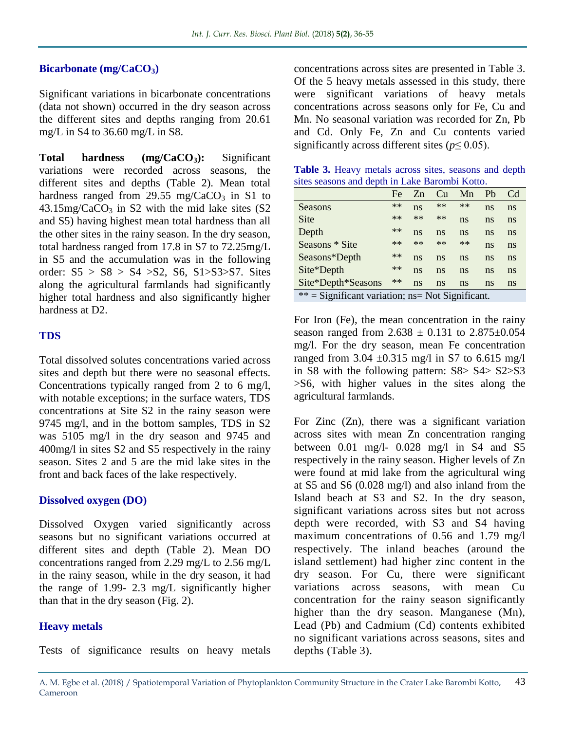#### **Bicarbonate (mg/CaCO3)**

Significant variations in bicarbonate concentrations (data not shown) occurred in the dry season across the different sites and depths ranging from 20.61 mg/L in S4 to 36.60 mg/L in S8.

**Total hardness (mg/CaCO3):** Significant variations were recorded across seasons, the different sites and depths (Table 2). Mean total hardness ranged from 29.55 mg/ $CaCO<sub>3</sub>$  in S1 to  $43.15$ mg/CaCO<sub>3</sub> in S2 with the mid lake sites (S2) and S5) having highest mean total hardness than all the other sites in the rainy season. In the dry season, total hardness ranged from 17.8 in S7 to 72.25mg/L in S5 and the accumulation was in the following order:  $S5 > S8 > S4 > S2$ ,  $S6$ ,  $S1 > S3 > S7$ . Sites along the agricultural farmlands had significantly higher total hardness and also significantly higher hardness at D2.

#### **TDS**

Total dissolved solutes concentrations varied across sites and depth but there were no seasonal effects. Concentrations typically ranged from 2 to 6 mg/l, with notable exceptions; in the surface waters, TDS concentrations at Site S2 in the rainy season were 9745 mg/l, and in the bottom samples, TDS in S2 was 5105 mg/l in the dry season and 9745 and 400mg/l in sites S2 and S5 respectively in the rainy season. Sites 2 and 5 are the mid lake sites in the front and back faces of the lake respectively.

#### **Dissolved oxygen (DO)**

Dissolved Oxygen varied significantly across seasons but no significant variations occurred at different sites and depth (Table 2). Mean DO concentrations ranged from 2.29 mg/L to 2.56 mg/L in the rainy season, while in the dry season, it had the range of 1.99- 2.3 mg/L significantly higher than that in the dry season (Fig. 2).

## **Heavy metals**

Tests of significance results on heavy metals

concentrations across sites are presented in Table 3. Of the 5 heavy metals assessed in this study, there were significant variations of heavy metals concentrations across seasons only for Fe, Cu and Mn. No seasonal variation was recorded for Zn, Pb and Cd. Only Fe, Zn and Cu contents varied significantly across different sites ( $p \leq 0.05$ ).

| Table 3. Heavy metals across sites, seasons and depth |  |  |  |  |
|-------------------------------------------------------|--|--|--|--|
| sites seasons and depth in Lake Barombi Kotto.        |  |  |  |  |

|                                                     | Fe   | Zn   | Cu   | Mn   | Pb | Cd |  |  |
|-----------------------------------------------------|------|------|------|------|----|----|--|--|
| Seasons                                             | $**$ | ns   | $**$ | $**$ | ns | ns |  |  |
| <b>Site</b>                                         | $**$ | $**$ | $**$ | ns   | ns | ns |  |  |
| Depth                                               | $**$ | ns   | ns   | ns   | ns | ns |  |  |
| Seasons * Site                                      | $**$ | $**$ | $**$ | $**$ | ns | ns |  |  |
| Seasons*Depth                                       | $**$ | ns   | ns   | ns   | ns | ns |  |  |
| Site*Depth                                          | $**$ | ns   | ns   | ns   | ns | ns |  |  |
| Site*Depth*Seasons                                  | $**$ | ns   | ns   | ns   | ns | ns |  |  |
| $**$ = Significant variation; ns = Not Significant. |      |      |      |      |    |    |  |  |

For Iron (Fe), the mean concentration in the rainy season ranged from  $2.638 \pm 0.131$  to  $2.875 \pm 0.054$ mg/l. For the dry season, mean Fe concentration ranged from 3.04  $\pm$ 0.315 mg/l in S7 to 6.615 mg/l in S8 with the following pattern: S8> S4> S2>S3 >S6, with higher values in the sites along the agricultural farmlands.

For Zinc (Zn), there was a significant variation across sites with mean Zn concentration ranging between 0.01 mg/l- 0.028 mg/l in S4 and S5 respectively in the rainy season. Higher levels of Zn were found at mid lake from the agricultural wing at S5 and S6 (0.028 mg/l) and also inland from the Island beach at S3 and S2. In the dry season, significant variations across sites but not across depth were recorded, with S3 and S4 having maximum concentrations of 0.56 and 1.79 mg/l respectively. The inland beaches (around the island settlement) had higher zinc content in the dry season. For Cu, there were significant variations across seasons, with mean Cu concentration for the rainy season significantly higher than the dry season. Manganese (Mn), Lead (Pb) and Cadmium (Cd) contents exhibited no significant variations across seasons, sites and depths (Table 3).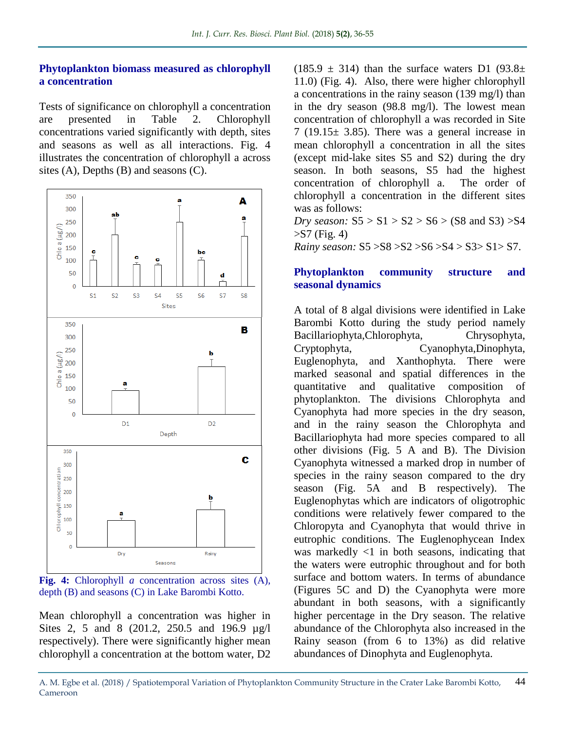#### **Phytoplankton biomass measured as chlorophyll a concentration**

Tests of significance on chlorophyll a concentration are presented in Table 2. Chlorophyll concentrations varied significantly with depth, sites and seasons as well as all interactions. Fig. 4 illustrates the concentration of chlorophyll a across sites (A), Depths (B) and seasons (C).



**Fig. 4:** Chlorophyll *a* concentration across sites (A), depth (B) and seasons (C) in Lake Barombi Kotto.

Mean chlorophyll a concentration was higher in Sites 2, 5 and 8 (201.2, 250.5 and 196.9 µg/l respectively). There were significantly higher mean chlorophyll a concentration at the bottom water, D2  $(185.9 \pm 314)$  than the surface waters D1  $(93.8 \pm 11)$ 11.0) (Fig. 4). Also, there were higher chlorophyll a concentrations in the rainy season (139 mg/l) than in the dry season (98.8 mg/l). The lowest mean concentration of chlorophyll a was recorded in Site  $7(19.15 \pm 3.85)$ . There was a general increase in mean chlorophyll a concentration in all the sites (except mid-lake sites S5 and S2) during the dry season. In both seasons, S5 had the highest concentration of chlorophyll a. The order of chlorophyll a concentration in the different sites was as follows:

*Dry season:*  $S5 > S1 > S2 > S6 > (S8 \text{ and } S3) > S4$  $>$ S7 (Fig. 4) *Rainy season:* S5 >S8 >S2 >S6 >S4 > S3> S1> S7.

#### **Phytoplankton community structure and seasonal dynamics**

A total of 8 algal divisions were identified in Lake Barombi Kotto during the study period namely Bacillariophyta,Chlorophyta, Chrysophyta, Cryptophyta, Cyanophyta,Dinophyta, Euglenophyta, and Xanthophyta. There were marked seasonal and spatial differences in the quantitative and qualitative composition of phytoplankton. The divisions Chlorophyta and Cyanophyta had more species in the dry season, and in the rainy season the Chlorophyta and Bacillariophyta had more species compared to all other divisions (Fig. 5 A and B). The Division Cyanophyta witnessed a marked drop in number of species in the rainy season compared to the dry season (Fig. 5A and B respectively). The Euglenophytas which are indicators of oligotrophic conditions were relatively fewer compared to the Chloropyta and Cyanophyta that would thrive in eutrophic conditions. The Euglenophycean Index was markedly  $\langle 1 \rangle$  in both seasons, indicating that the waters were eutrophic throughout and for both surface and bottom waters. In terms of abundance (Figures 5C and D) the Cyanophyta were more abundant in both seasons, with a significantly higher percentage in the Dry season. The relative abundance of the Chlorophyta also increased in the Rainy season (from 6 to 13%) as did relative abundances of Dinophyta and Euglenophyta.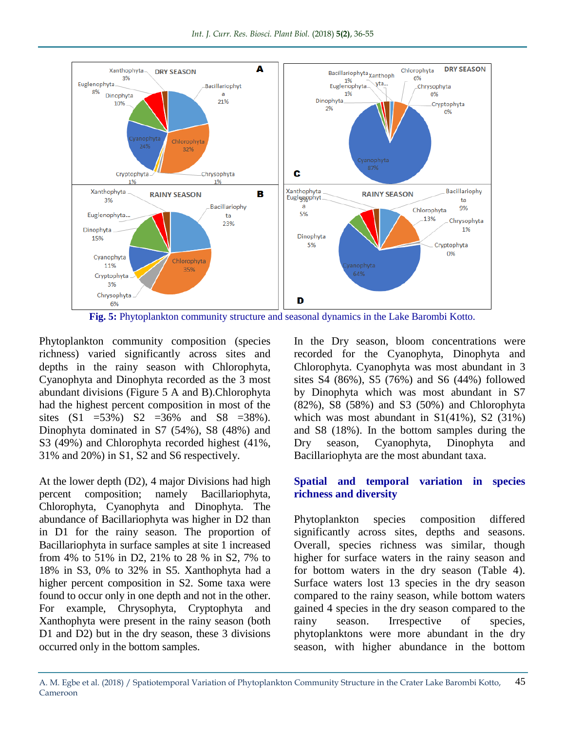

**Fig. 5:** Phytoplankton community structure and seasonal dynamics in the Lake Barombi Kotto.

Phytoplankton community composition (species richness) varied significantly across sites and depths in the rainy season with Chlorophyta, Cyanophyta and Dinophyta recorded as the 3 most abundant divisions (Figure 5 A and B).Chlorophyta had the highest percent composition in most of the sites  $(S1 = 53\%)$   $S2 = 36\%$  and  $S8 = 38\%$ . Dinophyta dominated in S7 (54%), S8 (48%) and S3 (49%) and Chlorophyta recorded highest (41%, 31% and 20%) in S1, S2 and S6 respectively.

At the lower depth (D2), 4 major Divisions had high percent composition; namely Bacillariophyta, Chlorophyta, Cyanophyta and Dinophyta. The abundance of Bacillariophyta was higher in D2 than in D1 for the rainy season. The proportion of Bacillariophyta in surface samples at site 1 increased from 4% to 51% in D2, 21% to 28 % in S2, 7% to 18% in S3, 0% to 32% in S5. Xanthophyta had a higher percent composition in S2. Some taxa were found to occur only in one depth and not in the other. For example, Chrysophyta, Cryptophyta and Xanthophyta were present in the rainy season (both D1 and D2) but in the dry season, these 3 divisions occurred only in the bottom samples.

In the Dry season, bloom concentrations were recorded for the Cyanophyta, Dinophyta and Chlorophyta. Cyanophyta was most abundant in 3 sites S4 (86%), S5 (76%) and S6 (44%) followed by Dinophyta which was most abundant in S7 (82%), S8 (58%) and S3 (50%) and Chlorophyta which was most abundant in  $S1(41\%)$ , S2 (31%) and S8 (18%). In the bottom samples during the Dry season, Cyanophyta, Dinophyta and Bacillariophyta are the most abundant taxa.

#### **Spatial and temporal variation in species richness and diversity**

Phytoplankton species composition differed significantly across sites, depths and seasons. Overall, species richness was similar, though higher for surface waters in the rainy season and for bottom waters in the dry season (Table 4). Surface waters lost 13 species in the dry season compared to the rainy season, while bottom waters gained 4 species in the dry season compared to the rainy season. Irrespective of species, phytoplanktons were more abundant in the dry season, with higher abundance in the bottom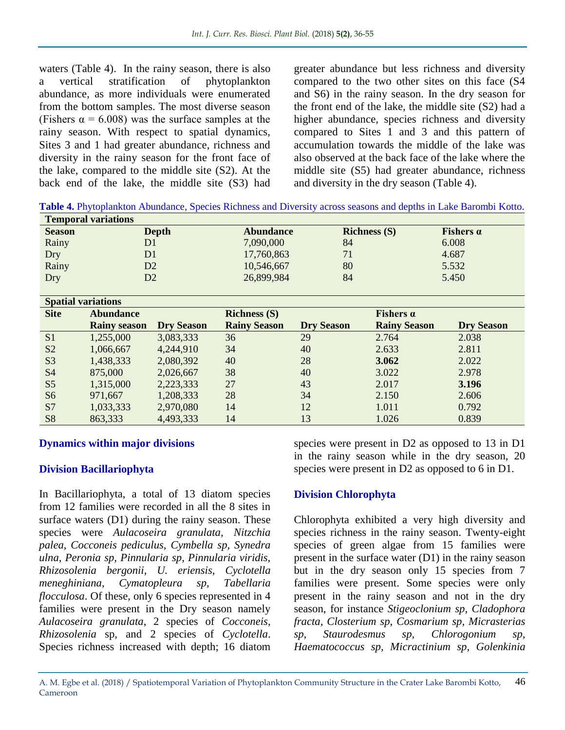waters (Table 4). In the rainy season, there is also a vertical stratification of phytoplankton abundance, as more individuals were enumerated from the bottom samples. The most diverse season (Fishers  $\alpha = 6.008$ ) was the surface samples at the rainy season. With respect to spatial dynamics, Sites 3 and 1 had greater abundance, richness and diversity in the rainy season for the front face of the lake, compared to the middle site (S2). At the back end of the lake, the middle site (S3) had

greater abundance but less richness and diversity compared to the two other sites on this face (S4 and S6) in the rainy season. In the dry season for the front end of the lake, the middle site (S2) had a higher abundance, species richness and diversity compared to Sites 1 and 3 and this pattern of accumulation towards the middle of the lake was also observed at the back face of the lake where the middle site (S5) had greater abundance, richness and diversity in the dry season (Table 4).

**Table 4.** Phytoplankton Abundance, Species Richness and Diversity across seasons and depths in Lake Barombi Kotto.

| <b>Temporal variations</b> |              |                  |                                |                  |  |  |  |  |
|----------------------------|--------------|------------------|--------------------------------|------------------|--|--|--|--|
| <b>Season</b>              | <b>Depth</b> | <b>Abundance</b> | $Richardmathbf{R}(\mathbf{S})$ | Fishers $\alpha$ |  |  |  |  |
| Rainy                      | D1           | 7,090,000        | 84                             | 6.008            |  |  |  |  |
| Dry                        | D1           | 17,760,863       | 71                             | 4.687            |  |  |  |  |
| Rainy                      | D2           | 10,546,667       | 80                             | 5.532            |  |  |  |  |
| Dry                        | D2           | 26,899,984       | 84                             | 5.450            |  |  |  |  |

|                | <b>Spatial variations</b> |                   |                     |                   |                     |                   |  |  |  |
|----------------|---------------------------|-------------------|---------------------|-------------------|---------------------|-------------------|--|--|--|
| <b>Site</b>    | <b>Abundance</b>          |                   | Richness $(S)$      |                   | Fishers $\alpha$    |                   |  |  |  |
|                | <b>Rainy season</b>       | <b>Dry Season</b> | <b>Rainy Season</b> | <b>Dry Season</b> | <b>Rainy Season</b> | <b>Dry Season</b> |  |  |  |
| S <sub>1</sub> | 1,255,000                 | 3,083,333         | 36                  | 29                | 2.764               | 2.038             |  |  |  |
| S <sub>2</sub> | 1,066,667                 | 4,244,910         | 34                  | 40                | 2.633               | 2.811             |  |  |  |
| S <sub>3</sub> | 1,438,333                 | 2,080,392         | 40                  | 28                | 3.062               | 2.022             |  |  |  |
| <b>S4</b>      | 875,000                   | 2,026,667         | 38                  | 40                | 3.022               | 2.978             |  |  |  |
| S <sub>5</sub> | 1,315,000                 | 2,223,333         | 27                  | 43                | 2.017               | 3.196             |  |  |  |
| S <sub>6</sub> | 971,667                   | 1,208,333         | 28                  | 34                | 2.150               | 2.606             |  |  |  |
| S7             | 1,033,333                 | 2,970,080         | 14                  | 12                | 1.011               | 0.792             |  |  |  |
| S <sub>8</sub> | 863,333                   | 4,493,333         | 14                  | 13                | 1.026               | 0.839             |  |  |  |

## **Dynamics within major divisions**

## **Division Bacillariophyta**

In Bacillariophyta, a total of 13 diatom species from 12 families were recorded in all the 8 sites in surface waters (D1) during the rainy season. These species were *Aulacoseira granulata, Nitzchia palea, Cocconeis pediculus, Cymbella sp, Synedra ulna, Peronia sp, Pinnularia sp, Pinnularia viridis, Rhizosolenia bergonii, U. eriensis, Cyclotella meneghiniana, Cymatopleura sp, Tabellaria flocculosa*. Of these, only 6 species represented in 4 families were present in the Dry season namely *Aulacoseira granulata*, 2 species of *Cocconeis*, *Rhizosolenia* sp, and 2 species of *Cyclotella*. Species richness increased with depth; 16 diatom

species were present in D2 as opposed to 13 in D1 in the rainy season while in the dry season, 20 species were present in D2 as opposed to 6 in D1.

## **Division Chlorophyta**

Chlorophyta exhibited a very high diversity and species richness in the rainy season. Twenty-eight species of green algae from 15 families were present in the surface water (D1) in the rainy season but in the dry season only 15 species from 7 families were present. Some species were only present in the rainy season and not in the dry season, for instance *Stigeoclonium sp, Cladophora fracta, Closterium sp, Cosmarium sp, Micrasterias sp, Staurodesmus sp, Chlorogonium sp, Haematococcus sp, Micractinium sp, Golenkinia*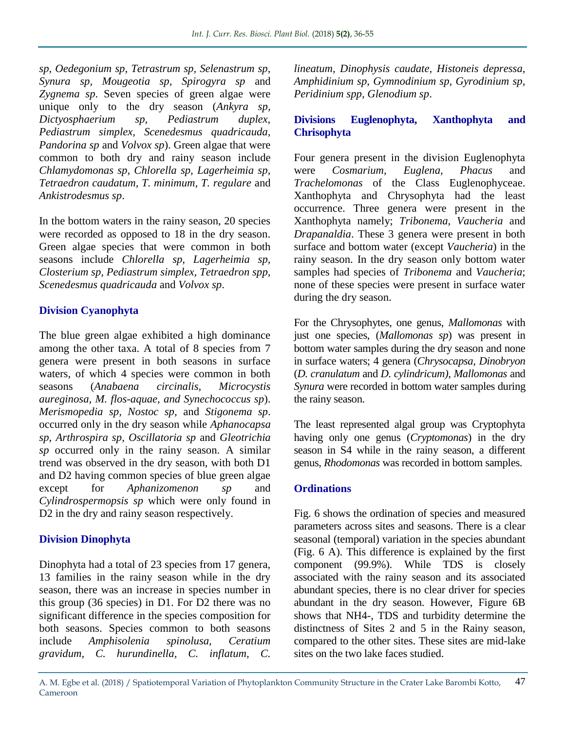*sp, Oedegonium sp, Tetrastrum sp, Selenastrum sp, Synura sp, Mougeotia sp, Spirogyra sp* and *Zygnema sp*. Seven species of green algae were unique only to the dry season (*Ankyra sp, Dictyosphaerium sp, Pediastrum duplex, Pediastrum simplex, Scenedesmus quadricauda, Pandorina sp* and *Volvox sp*). Green algae that were common to both dry and rainy season include *Chlamydomonas sp, Chlorella sp, Lagerheimia sp, Tetraedron caudatum, T. minimum, T. regulare* and *Ankistrodesmus sp*.

In the bottom waters in the rainy season, 20 species were recorded as opposed to 18 in the dry season. Green algae species that were common in both seasons include *Chlorella sp, Lagerheimia sp, Closterium sp, Pediastrum simplex, Tetraedron spp, Scenedesmus quadricauda* and *Volvox sp*.

## **Division Cyanophyta**

The blue green algae exhibited a high dominance among the other taxa. A total of 8 species from 7 genera were present in both seasons in surface waters, of which 4 species were common in both seasons (*Anabaena circinalis, Microcystis aureginosa, M. flos-aquae, and Synechococcus sp*). *Merismopedia sp, Nostoc sp,* and *Stigonema sp*. occurred only in the dry season while *Aphanocapsa sp*, *Arthrospira sp*, *Oscillatoria sp* and *Gleotrichia sp* occurred only in the rainy season. A similar trend was observed in the dry season, with both D1 and D2 having common species of blue green algae except for *Aphanizomenon sp* and *Cylindrospermopsis sp* which were only found in D<sub>2</sub> in the dry and rainy season respectively.

## **Division Dinophyta**

Dinophyta had a total of 23 species from 17 genera, 13 families in the rainy season while in the dry season, there was an increase in species number in this group (36 species) in D1. For D2 there was no significant difference in the species composition for both seasons. Species common to both seasons include *Amphisolenia spinolusa, Ceratium gravidum, C. hurundinella, C. inflatum, C.*  *lineatum, Dinophysis caudate, Histoneis depressa, Amphidinium sp, Gymnodinium sp, Gyrodinium sp, Peridinium spp, Glenodium sp*.

## **Divisions Euglenophyta, Xanthophyta and Chrisophyta**

Four genera present in the division Euglenophyta were *Cosmarium, Euglena, Phacus* and *Trachelomonas* of the Class Euglenophyceae. Xanthophyta and Chrysophyta had the least occurrence. Three genera were present in the Xanthophyta namely; *Tribonema, Vaucheria* and *Drapanaldia*. These 3 genera were present in both surface and bottom water (except *Vaucheria*) in the rainy season. In the dry season only bottom water samples had species of *Tribonema* and *Vaucheria*; none of these species were present in surface water during the dry season.

For the Chrysophytes, one genus, *Mallomonas* with just one species, (*Mallomonas sp*) was present in bottom water samples during the dry season and none in surface waters; 4 genera (*Chrysocapsa, Dinobryon* (*D. cranulatum* and *D. cylindricum)*, *Mallomonas* and *Synura* were recorded in bottom water samples during the rainy season.

The least represented algal group was Cryptophyta having only one genus (*Cryptomonas*) in the dry season in S4 while in the rainy season, a different genus, *Rhodomonas* was recorded in bottom samples.

## **Ordinations**

Fig. 6 shows the ordination of species and measured parameters across sites and seasons. There is a clear seasonal (temporal) variation in the species abundant (Fig. 6 A). This difference is explained by the first component (99.9%). While TDS is closely associated with the rainy season and its associated abundant species, there is no clear driver for species abundant in the dry season. However, Figure 6B shows that NH4-, TDS and turbidity determine the distinctness of Sites 2 and 5 in the Rainy season, compared to the other sites. These sites are mid-lake sites on the two lake faces studied.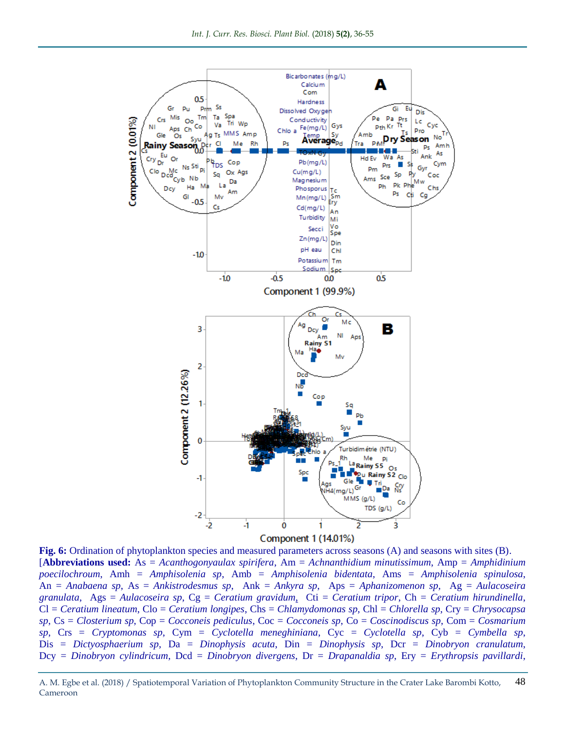

**Fig. 6:** Ordination of phytoplankton species and measured parameters across seasons (A) and seasons with sites (B). [**Abbreviations used:** As = *Acanthogonyaulax spirifera*, Am = *Achnanthidium minutissimum*, Amp = *Amphidinium poecilochroum*, Amh = *Amphisolenia sp*, Amb = *Amphisolenia bidentata*, Ams = *Amphisolenia spinulosa*, An = *Anabaena sp*, As = *Ankistrodesmus sp*, Ank = *Ankyra sp*, Aps = *Aphanizomenon sp*, Ag = *Aulacoseira granulata*, Ags = *Aulacoseira sp*, Cg = *Ceratium gravidum,* Cti = *Ceratium tripor*, Ch = *Ceratium hirundinella*, Cl = *Ceratium lineatum*, Clo = *Ceratium longipes*, Chs = *Chlamydomonas sp*, Chl = *Chlorella sp*, Cry = *Chrysocapsa sp*, Cs = *Closterium sp*, Cop = *Cocconeis pediculus*, Coc = *Cocconeis sp*, Co = *Coscinodiscus sp*, Com = *Cosmarium sp*, Crs = *Cryptomonas sp*, Cym = *Cyclotella meneghiniana*, Cyc = *Cyclotella sp*, Cyb = *Cymbella sp*, Dis = *Dictyosphaerium sp*, Da = *Dinophysis acuta*, Din = *Dinophysis sp*, Dcr = *Dinobryon cranulatum*, Dcy = *Dinobryon cylindricum*, Dcd = *Dinobryon divergens*, Dr = *Drapanaldia sp*, Ery = *Erythropsis pavillardi*,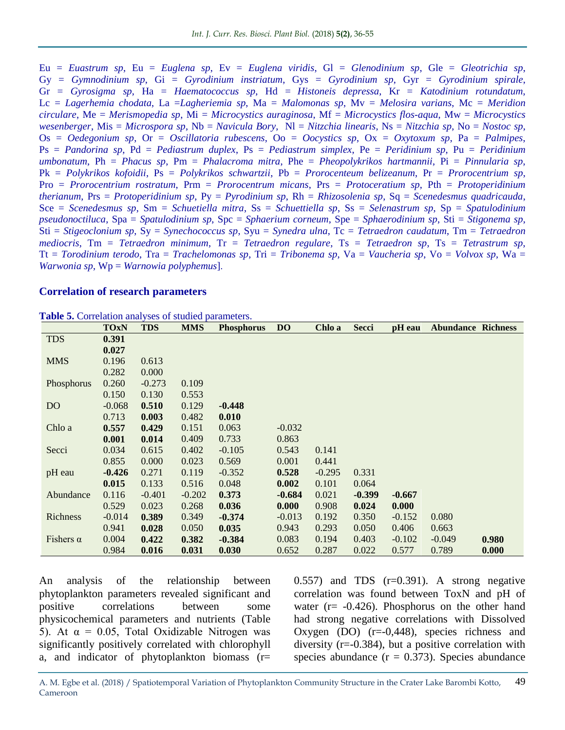Eu = *Euastrum sp*, Eu = *Euglena sp*, Ev = *Euglena viridis*, Gl = *Glenodinium sp*, Gle = *Gleotrichia sp*, Gy = *Gymnodinium sp*, Gi = *Gyrodinium instriatum*, Gys = *Gyrodinium sp*, Gyr = *Gyrodinium spirale*, Gr = *Gyrosigma sp*, Ha = *Haematococcus sp*, Hd = *Histoneis depressa*, Kr = *Katodinium rotundatum*, Lc = *Lagerhemia chodata*, La =*Lagheriemia sp*, Ma = *Malomonas sp*, Mv = *Melosira varians*, Mc = *Meridion circulare*, Me = *Merismopedia sp*, Mi = *Microcystics auraginosa*, Mf = *Microcystics flos-aqua*, Mw = *Microcystics wesenberger*, Mis = *Microspora sp*, Nb = *Navicula Bory*, Nl = *Nitzchia linearis*, Ns = *Nitzchia sp*, No = *Nostoc sp*, Os = *Oedegonium sp*, Or = *Oscillatoria rubescens*, Oo = *Oocystics sp*, Ox = *Oxytoxum sp*, Pa = *Palmipes*, Ps = *Pandorina sp*, Pd = *Pediastrum duplex*, Ps = *Pediastrum simplex*, Pe = *Peridinium sp*, Pu = *Peridinium umbonatum*, Ph = *Phacus sp*, Pm = *Phalacroma mitra*, Phe = *Pheopolykrikos hartmannii*, Pi = *Pinnularia sp*, Pk = *Polykrikos kofoidii*, Ps = *Polykrikos schwartzii*, Pb = *Prorocenteum belizeanum*, Pr = *Prorocentrium sp*, Pro = *Prorocentrium rostratum*, Prm = *Prorocentrum micans*, Prs = *Protoceratium sp*, Pth = *Protoperidinium therianum*, Prs = *Protoperidinium sp*, Py = *Pyrodinium sp*, Rh = *Rhizosolenia sp*, Sq = *Scenedesmus quadricauda*, Sce = *Scenedesmus sp*, Sm = *Schuetiella mitra*, Ss = *Schuettiella sp*, Ss = *Selenastrum sp*, Sp = *Spatulodinium pseudonoctiluca*, Spa = *Spatulodinium sp*, Spc = *Sphaerium corneum*, Spe = *Sphaerodinium sp*, Sti = *Stigonema sp*, Sti = *Stigeoclonium sp*, Sy = *Synechococcus sp*, Syu = *Synedra ulna*, Tc = *Tetraedron caudatum*, Tm = *Tetraedron mediocris*, Tm = *Tetraedron minimum*, Tr = *Tetraedron regulare*, Ts = *Tetraedron sp*, Ts = *Tetrastrum sp*, Tt = *Torodinium terodo*, Tra = *Trachelomonas sp*, Tri = *Tribonema sp*, Va = *Vaucheria sp*, Vo = *Volvox sp*, Wa = *Warwonia sp*, Wp = *Warnowia polyphemus*].

#### **Correlation of research parameters**

|                  | <b>TOxN</b> | <b>TDS</b> | <b>MMS</b> | <b>Phosphorus</b> | <b>DO</b> | Chlo a   | Secci    | pH eau   | <b>Abundance Richness</b> |       |
|------------------|-------------|------------|------------|-------------------|-----------|----------|----------|----------|---------------------------|-------|
| <b>TDS</b>       | 0.391       |            |            |                   |           |          |          |          |                           |       |
|                  | 0.027       |            |            |                   |           |          |          |          |                           |       |
| <b>MMS</b>       | 0.196       | 0.613      |            |                   |           |          |          |          |                           |       |
|                  | 0.282       | 0.000      |            |                   |           |          |          |          |                           |       |
| Phosphorus       | 0.260       | $-0.273$   | 0.109      |                   |           |          |          |          |                           |       |
|                  | 0.150       | 0.130      | 0.553      |                   |           |          |          |          |                           |       |
| D <sub>O</sub>   | $-0.068$    | 0.510      | 0.129      | $-0.448$          |           |          |          |          |                           |       |
|                  | 0.713       | 0.003      | 0.482      | 0.010             |           |          |          |          |                           |       |
| Chlo a           | 0.557       | 0.429      | 0.151      | 0.063             | $-0.032$  |          |          |          |                           |       |
|                  | 0.001       | 0.014      | 0.409      | 0.733             | 0.863     |          |          |          |                           |       |
| Secci            | 0.034       | 0.615      | 0.402      | $-0.105$          | 0.543     | 0.141    |          |          |                           |       |
|                  | 0.855       | 0.000      | 0.023      | 0.569             | 0.001     | 0.441    |          |          |                           |       |
| pH eau           | $-0.426$    | 0.271      | 0.119      | $-0.352$          | 0.528     | $-0.295$ | 0.331    |          |                           |       |
|                  | 0.015       | 0.133      | 0.516      | 0.048             | 0.002     | 0.101    | 0.064    |          |                           |       |
| Abundance        | 0.116       | $-0.401$   | $-0.202$   | 0.373             | $-0.684$  | 0.021    | $-0.399$ | $-0.667$ |                           |       |
|                  | 0.529       | 0.023      | 0.268      | 0.036             | 0.000     | 0.908    | 0.024    | 0.000    |                           |       |
| Richness         | $-0.014$    | 0.389      | 0.349      | $-0.374$          | $-0.013$  | 0.192    | 0.350    | $-0.152$ | 0.080                     |       |
|                  | 0.941       | 0.028      | 0.050      | 0.035             | 0.943     | 0.293    | 0.050    | 0.406    | 0.663                     |       |
| Fishers $\alpha$ | 0.004       | 0.422      | 0.382      | $-0.384$          | 0.083     | 0.194    | 0.403    | $-0.102$ | $-0.049$                  | 0.980 |
|                  | 0.984       | 0.016      | 0.031      | 0.030             | 0.652     | 0.287    | 0.022    | 0.577    | 0.789                     | 0.000 |

**Table 5.** Correlation analyses of studied parameters.

An analysis of the relationship between phytoplankton parameters revealed significant and positive correlations between some physicochemical parameters and nutrients (Table 5). At  $\alpha = 0.05$ , Total Oxidizable Nitrogen was significantly positively correlated with chlorophyll a, and indicator of phytoplankton biomass (r=  $(0.557)$  and TDS  $(r=0.391)$ . A strong negative correlation was found between ToxN and pH of water (r=  $-0.426$ ). Phosphorus on the other hand had strong negative correlations with Dissolved Oxygen (DO) (r=-0,448), species richness and diversity  $(r=-0.384)$ , but a positive correlation with species abundance  $(r = 0.373)$ . Species abundance

A. M. Egbe et al. (2018) / Spatiotemporal Variation of Phytoplankton Community Structure in the Crater Lake Barombi Kotto, Cameroon 49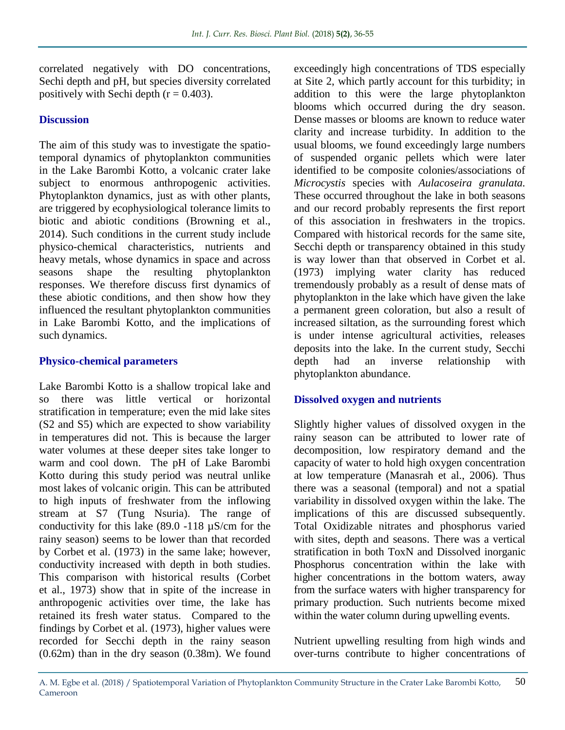correlated negatively with DO concentrations, Sechi depth and pH, but species diversity correlated positively with Sechi depth  $(r = 0.403)$ .

## **Discussion**

The aim of this study was to investigate the spatiotemporal dynamics of phytoplankton communities in the Lake Barombi Kotto, a volcanic crater lake subject to enormous anthropogenic activities. Phytoplankton dynamics, just as with other plants, are triggered by ecophysiological tolerance limits to biotic and abiotic conditions (Browning et al., 2014). Such conditions in the current study include physico-chemical characteristics, nutrients and heavy metals, whose dynamics in space and across seasons shape the resulting phytoplankton responses. We therefore discuss first dynamics of these abiotic conditions, and then show how they influenced the resultant phytoplankton communities in Lake Barombi Kotto, and the implications of such dynamics.

#### **Physico-chemical parameters**

Lake Barombi Kotto is a shallow tropical lake and so there was little vertical or horizontal stratification in temperature; even the mid lake sites (S2 and S5) which are expected to show variability in temperatures did not. This is because the larger water volumes at these deeper sites take longer to warm and cool down. The pH of Lake Barombi Kotto during this study period was neutral unlike most lakes of volcanic origin. This can be attributed to high inputs of freshwater from the inflowing stream at S7 (Tung Nsuria). The range of conductivity for this lake (89.0 -118 µS/cm for the rainy season) seems to be lower than that recorded by Corbet et al. (1973) in the same lake; however, conductivity increased with depth in both studies. This comparison with historical results (Corbet et al., 1973) show that in spite of the increase in anthropogenic activities over time, the lake has retained its fresh water status. Compared to the findings by Corbet et al. (1973), higher values were recorded for Secchi depth in the rainy season (0.62m) than in the dry season (0.38m). We found

exceedingly high concentrations of TDS especially at Site 2, which partly account for this turbidity; in addition to this were the large phytoplankton blooms which occurred during the dry season. Dense masses or blooms are known to reduce water clarity and increase turbidity. In addition to the usual blooms, we found exceedingly large numbers of suspended organic pellets which were later identified to be composite colonies/associations of *Microcystis* species with *Aulacoseira granulata.*  These occurred throughout the lake in both seasons and our record probably represents the first report of this association in freshwaters in the tropics. Compared with historical records for the same site, Secchi depth or transparency obtained in this study is way lower than that observed in Corbet et al. (1973) implying water clarity has reduced tremendously probably as a result of dense mats of phytoplankton in the lake which have given the lake a permanent green coloration, but also a result of increased siltation, as the surrounding forest which is under intense agricultural activities, releases deposits into the lake. In the current study, Secchi depth had an inverse relationship with phytoplankton abundance.

## **Dissolved oxygen and nutrients**

Slightly higher values of dissolved oxygen in the rainy season can be attributed to lower rate of decomposition, low respiratory demand and the capacity of water to hold high oxygen concentration at low temperature (Manasrah et al., 2006). Thus there was a seasonal (temporal) and not a spatial variability in dissolved oxygen within the lake. The implications of this are discussed subsequently. Total Oxidizable nitrates and phosphorus varied with sites, depth and seasons. There was a vertical stratification in both ToxN and Dissolved inorganic Phosphorus concentration within the lake with higher concentrations in the bottom waters, away from the surface waters with higher transparency for primary production. Such nutrients become mixed within the water column during upwelling events.

Nutrient upwelling resulting from high winds and over-turns contribute to higher concentrations of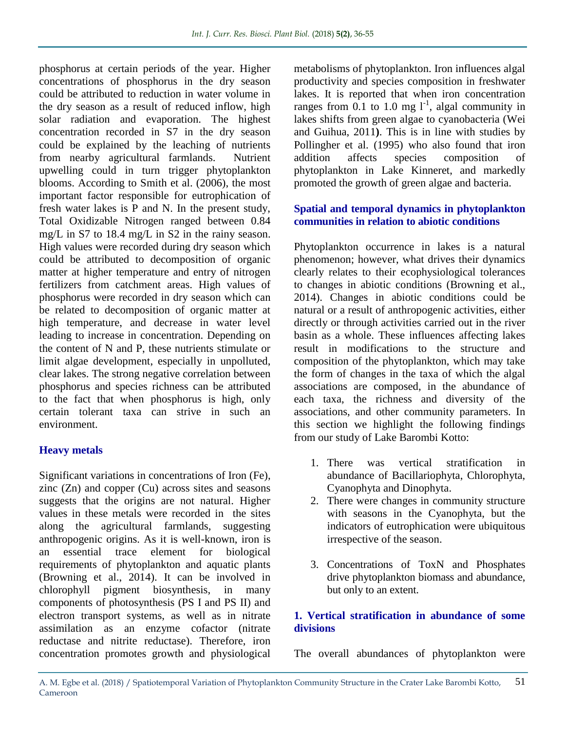phosphorus at certain periods of the year. Higher concentrations of phosphorus in the dry season could be attributed to reduction in water volume in the dry season as a result of reduced inflow, high solar radiation and evaporation. The highest concentration recorded in S7 in the dry season could be explained by the leaching of nutrients from nearby agricultural farmlands. Nutrient upwelling could in turn trigger phytoplankton blooms. According to Smith et al. (2006), the most important factor responsible for eutrophication of fresh water lakes is P and N. In the present study, Total Oxidizable Nitrogen ranged between 0.84 mg/L in S7 to 18.4 mg/L in S2 in the rainy season. High values were recorded during dry season which could be attributed to decomposition of organic matter at higher temperature and entry of nitrogen fertilizers from catchment areas. High values of phosphorus were recorded in dry season which can be related to decomposition of organic matter at high temperature, and decrease in water level leading to increase in concentration. Depending on the content of N and P, these nutrients stimulate or limit algae development, especially in unpolluted, clear lakes. The strong negative correlation between phosphorus and species richness can be attributed to the fact that when phosphorus is high, only certain tolerant taxa can strive in such an environment.

# **Heavy metals**

Significant variations in concentrations of Iron (Fe), zinc (Zn) and copper (Cu) across sites and seasons suggests that the origins are not natural. Higher values in these metals were recorded in the sites along the agricultural farmlands, suggesting anthropogenic origins. As it is well-known, iron is an essential trace element for biological requirements of phytoplankton and aquatic plants (Browning et al., 2014). It can be involved in chlorophyll pigment biosynthesis, in many components of photosynthesis (PS I and PS II) and electron transport systems, as well as in nitrate assimilation as an enzyme cofactor (nitrate reductase and nitrite reductase). Therefore, iron concentration promotes growth and physiological

metabolisms of phytoplankton. Iron influences algal productivity and species composition in freshwater lakes. It is reported that when iron concentration ranges from  $0.1$  to 1.0 mg  $1^{-1}$ , algal community in lakes shifts from green algae to cyanobacteria (Wei and Guihua, 2011**)**. This is in line with studies by Pollingher et al. (1995) who also found that iron addition affects species composition of phytoplankton in Lake Kinneret, and markedly promoted the growth of green algae and bacteria.

## **Spatial and temporal dynamics in phytoplankton communities in relation to abiotic conditions**

Phytoplankton occurrence in lakes is a natural phenomenon; however, what drives their dynamics clearly relates to their ecophysiological tolerances to changes in abiotic conditions (Browning et al., 2014). Changes in abiotic conditions could be natural or a result of anthropogenic activities, either directly or through activities carried out in the river basin as a whole. These influences affecting lakes result in modifications to the structure and composition of the phytoplankton, which may take the form of changes in the taxa of which the algal associations are composed, in the abundance of each taxa, the richness and diversity of the associations, and other community parameters. In this section we highlight the following findings from our study of Lake Barombi Kotto:

- 1. There was vertical stratification in abundance of Bacillariophyta, Chlorophyta, Cyanophyta and Dinophyta.
- 2. There were changes in community structure with seasons in the Cyanophyta, but the indicators of eutrophication were ubiquitous irrespective of the season.
- 3. Concentrations of ToxN and Phosphates drive phytoplankton biomass and abundance, but only to an extent.

# **1. Vertical stratification in abundance of some divisions**

The overall abundances of phytoplankton were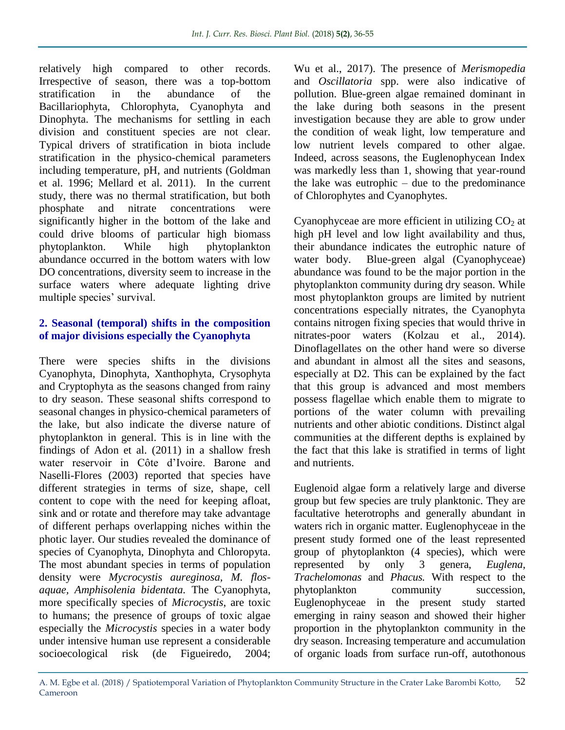relatively high compared to other records. Irrespective of season, there was a top-bottom stratification in the abundance of the Bacillariophyta, Chlorophyta, Cyanophyta and Dinophyta. The mechanisms for settling in each division and constituent species are not clear. Typical drivers of stratification in biota include stratification in the physico-chemical parameters including temperature, pH, and nutrients (Goldman et al. 1996; Mellard et al. 2011). In the current study, there was no thermal stratification, but both phosphate and nitrate concentrations were significantly higher in the bottom of the lake and could drive blooms of particular high biomass phytoplankton. While high phytoplankton abundance occurred in the bottom waters with low DO concentrations, diversity seem to increase in the surface waters where adequate lighting drive multiple species' survival.

#### **2. Seasonal (temporal) shifts in the composition of major divisions especially the Cyanophyta**

There were species shifts in the divisions Cyanophyta, Dinophyta, Xanthophyta, Crysophyta and Cryptophyta as the seasons changed from rainy to dry season. These seasonal shifts correspond to seasonal changes in physico-chemical parameters of the lake, but also indicate the diverse nature of phytoplankton in general. This is in line with the findings of Adon et al. (2011) in a shallow fresh water reservoir in Côte d'Ivoire. Barone and Naselli-Flores (2003) reported that species have different strategies in terms of size, shape, cell content to cope with the need for keeping afloat, sink and or rotate and therefore may take advantage of different perhaps overlapping niches within the photic layer. Our studies revealed the dominance of species of Cyanophyta, Dinophyta and Chloropyta. The most abundant species in terms of population density were *Mycrocystis aureginosa, M. flosaquae, Amphisolenia bidentata.* The Cyanophyta, more specifically species of *Microcystis*, are toxic to humans; the presence of groups of toxic algae especially the *Microcystis* species in a water body under intensive human use represent a considerable socioecological risk (de Figueiredo, 2004;

Wu et al., 2017). The presence of *Merismopedia*  and *Oscillatoria* spp. were also indicative of pollution. Blue-green algae remained dominant in the lake during both seasons in the present investigation because they are able to grow under the condition of weak light, low temperature and low nutrient levels compared to other algae. Indeed, across seasons, the Euglenophycean Index was markedly less than 1, showing that year-round the lake was eutrophic – due to the predominance of Chlorophytes and Cyanophytes.

Cyanophyceae are more efficient in utilizing  $CO<sub>2</sub>$  at high pH level and low light availability and thus, their abundance indicates the eutrophic nature of water body. Blue-green algal (Cyanophyceae) abundance was found to be the major portion in the phytoplankton community during dry season. While most phytoplankton groups are limited by nutrient concentrations especially nitrates, the Cyanophyta contains nitrogen fixing species that would thrive in nitrates-poor waters (Kolzau et al., 2014). Dinoflagellates on the other hand were so diverse and abundant in almost all the sites and seasons, especially at D2. This can be explained by the fact that this group is advanced and most members possess flagellae which enable them to migrate to portions of the water column with prevailing nutrients and other abiotic conditions. Distinct algal communities at the different depths is explained by the fact that this lake is stratified in terms of light and nutrients.

Euglenoid algae form a relatively large and diverse group but few species are truly planktonic. They are facultative heterotrophs and generally abundant in waters rich in organic matter. Euglenophyceae in the present study formed one of the least represented group of phytoplankton (4 species), which were represented by only 3 genera, *Euglena, Trachelomonas* and *Phacus.* With respect to the phytoplankton community succession, Euglenophyceae in the present study started emerging in rainy season and showed their higher proportion in the phytoplankton community in the dry season. Increasing temperature and accumulation of organic loads from surface run-off, autothonous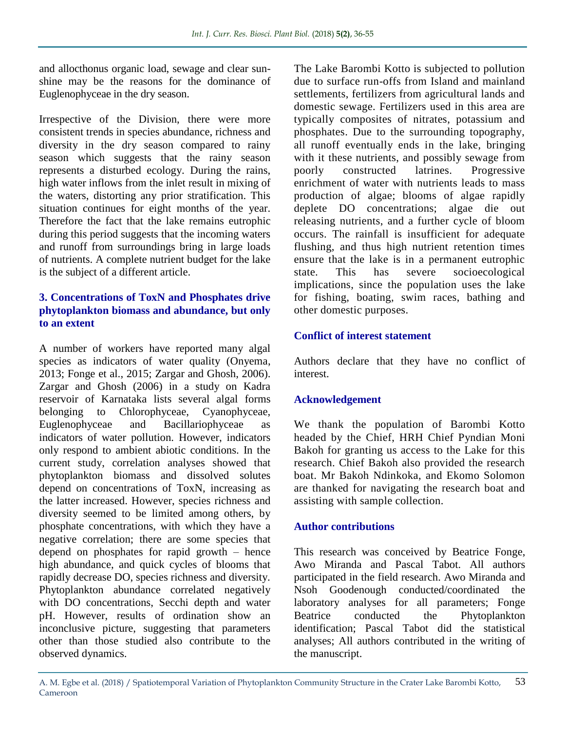and allocthonus organic load, sewage and clear sunshine may be the reasons for the dominance of Euglenophyceae in the dry season.

Irrespective of the Division, there were more consistent trends in species abundance, richness and diversity in the dry season compared to rainy season which suggests that the rainy season represents a disturbed ecology. During the rains, high water inflows from the inlet result in mixing of the waters, distorting any prior stratification. This situation continues for eight months of the year. Therefore the fact that the lake remains eutrophic during this period suggests that the incoming waters and runoff from surroundings bring in large loads of nutrients. A complete nutrient budget for the lake is the subject of a different article.

### **3. Concentrations of ToxN and Phosphates drive phytoplankton biomass and abundance, but only to an extent**

A number of workers have reported many algal species as indicators of water quality (Onyema, 2013; Fonge et al., 2015; Zargar and Ghosh, 2006). Zargar and Ghosh (2006) in a study on Kadra reservoir of Karnataka lists several algal forms belonging to Chlorophyceae, Cyanophyceae, Euglenophyceae and Bacillariophyceae as indicators of water pollution. However, indicators only respond to ambient abiotic conditions. In the current study, correlation analyses showed that phytoplankton biomass and dissolved solutes depend on concentrations of ToxN, increasing as the latter increased. However, species richness and diversity seemed to be limited among others, by phosphate concentrations, with which they have a negative correlation; there are some species that depend on phosphates for rapid growth – hence high abundance, and quick cycles of blooms that rapidly decrease DO, species richness and diversity. Phytoplankton abundance correlated negatively with DO concentrations, Secchi depth and water pH. However, results of ordination show an inconclusive picture, suggesting that parameters other than those studied also contribute to the observed dynamics.

The Lake Barombi Kotto is subjected to pollution due to surface run-offs from Island and mainland settlements, fertilizers from agricultural lands and domestic sewage. Fertilizers used in this area are typically composites of nitrates, potassium and phosphates. Due to the surrounding topography, all runoff eventually ends in the lake, bringing with it these nutrients, and possibly sewage from poorly constructed latrines. Progressive enrichment of water with nutrients leads to mass production of algae; blooms of algae rapidly deplete DO concentrations; algae die out releasing nutrients, and a further cycle of bloom occurs. The rainfall is insufficient for adequate flushing, and thus high nutrient retention times ensure that the lake is in a permanent eutrophic state. This has severe socioecological implications, since the population uses the lake for fishing, boating, swim races, bathing and other domestic purposes.

#### **Conflict of interest statement**

Authors declare that they have no conflict of interest.

## **Acknowledgement**

We thank the population of Barombi Kotto headed by the Chief, HRH Chief Pyndian Moni Bakoh for granting us access to the Lake for this research. Chief Bakoh also provided the research boat. Mr Bakoh Ndinkoka, and Ekomo Solomon are thanked for navigating the research boat and assisting with sample collection.

## **Author contributions**

This research was conceived by Beatrice Fonge, Awo Miranda and Pascal Tabot. All authors participated in the field research. Awo Miranda and Nsoh Goodenough conducted/coordinated the laboratory analyses for all parameters; Fonge Beatrice conducted the Phytoplankton identification; Pascal Tabot did the statistical analyses; All authors contributed in the writing of the manuscript.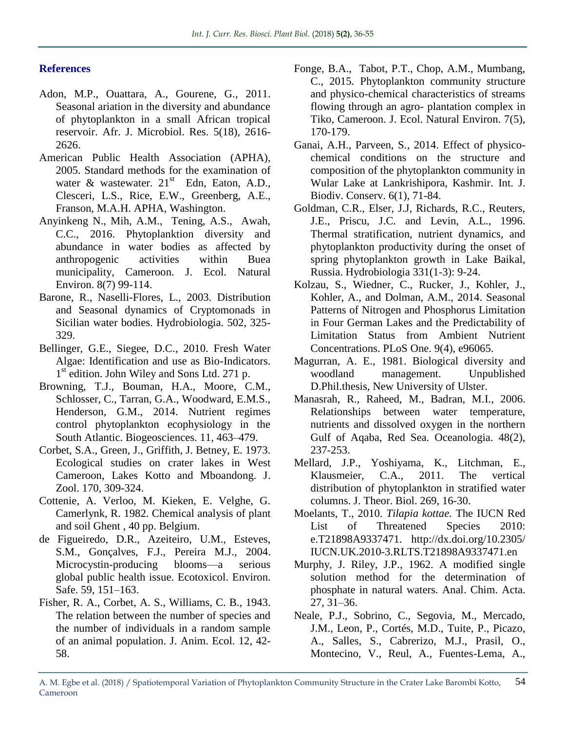## **References**

- Adon, M.P., Ouattara, A., Gourene, G., 2011. Seasonal ariation in the diversity and abundance of phytoplankton in a small African tropical reservoir. Afr. J. Microbiol. Res. 5(18), 2616- 2626.
- American Public Health Association (APHA), 2005. Standard methods for the examination of water & wastewater.  $21<sup>st</sup>$  Edn, Eaton, A.D., Clesceri, L.S., Rice, E.W., Greenberg, A.E., Franson, M.A.H. APHA, Washington.
- Anyinkeng N., Mih, A.M., Tening, A.S., Awah, C.C., 2016. Phytoplanktion diversity and abundance in water bodies as affected by anthropogenic activities within Buea municipality, Cameroon. J. Ecol. Natural Environ. 8(7) 99-114.
- Barone, R., Naselli-Flores, L., 2003. Distribution and Seasonal dynamics of Cryptomonads in Sicilian water bodies. Hydrobiologia. 502, 325- 329.
- Bellinger, G.E., Siegee, D.C., 2010. Fresh Water Algae: Identification and use as Bio-Indicators. 1<sup>st</sup> edition. John Wiley and Sons Ltd. 271 p.
- Browning, T.J., Bouman, H.A., Moore, C.M., Schlosser, C., Tarran, G.A., Woodward, E.M.S., Henderson, G.M., 2014. Nutrient regimes control phytoplankton ecophysiology in the South Atlantic. Biogeosciences. 11, 463–479.
- Corbet, S.A., Green, J., Griffith, J. Betney, E. 1973. Ecological studies on crater lakes in West Cameroon, Lakes Kotto and Mboandong. J. Zool. 170, 309-324.
- Cottenie, A. Verloo, M. Kieken, E. Velghe, G. Camerlynk, R. 1982. Chemical analysis of plant and soil Ghent , 40 pp. Belgium.
- de Figueiredo, D.R., Azeiteiro, U.M., Esteves, S.M., Gonçalves, F.J., Pereira M.J., 2004. Microcystin-producing blooms—a serious global public health issue. Ecotoxicol. Environ. Safe. 59, 151–163.
- Fisher, R. A., Corbet, A. S., Williams, C. B., 1943. The relation between the number of species and the number of individuals in a random sample of an animal population. J. Anim. Ecol. 12, 42- 58.
- Fonge, B.A., Tabot, P.T., Chop, A.M., Mumbang, C., 2015. Phytoplankton community structure and physico-chemical characteristics of streams flowing through an agro- plantation complex in Tiko, Cameroon. J. Ecol. Natural Environ. 7(5), 170-179.
- Ganai, A.H., Parveen, S., 2014. Effect of physicochemical conditions on the structure and composition of the phytoplankton community in Wular Lake at Lankrishipora, Kashmir. Int. J. Biodiv. Conserv. 6(1), 71-84.
- Goldman, C.R., Elser, J.J, Richards, R.C., Reuters, J.E., Priscu, J.C. and Levin, A.L., 1996. Thermal stratification, nutrient dynamics, and phytoplankton productivity during the onset of spring phytoplankton growth in Lake Baikal, Russia. Hydrobiologia 331(1-3): 9-24.
- Kolzau, S., Wiedner, C., Rucker, J., Kohler, J., Kohler, A., and Dolman, A.M., 2014. Seasonal Patterns of Nitrogen and Phosphorus Limitation in Four German Lakes and the Predictability of Limitation Status from Ambient Nutrient Concentrations. PLoS One. 9(4), e96065.
- Magurran, A. E., 1981. Biological diversity and woodland management. Unpublished D.Phil.thesis, New University of Ulster.
- Manasrah, R., Raheed, M., Badran, M.I., 2006. Relationships between water temperature, nutrients and dissolved oxygen in the northern Gulf of Aqaba, Red Sea. Oceanologia. 48(2), 237-253.
- Mellard, J.P., Yoshiyama, K., Litchman, E., Klausmeier, C.A., 2011. The vertical distribution of phytoplankton in stratified water columns. J. Theor. Biol. 269, 16-30.
- Moelants, T., 2010. *Tilapia kottae.* The IUCN Red List of Threatened Species 2010: e.T21898A9337471. http://dx.doi.org/10.2305/ IUCN.UK.2010-3.RLTS.T21898A9337471.en
- Murphy, J. Riley, J.P., 1962. A modified single solution method for the determination of phosphate in natural waters. Anal. Chim. Acta. 27, 31–36.
- Neale, P.J., Sobrino, C., Segovia, M., Mercado, J.M., Leon, P., Cortés, M.D., Tuite, P., Picazo, A., Salles, S., Cabrerizo, M.J., Prasil, O., Montecino, V., Reul, A., Fuentes-Lema, A.,